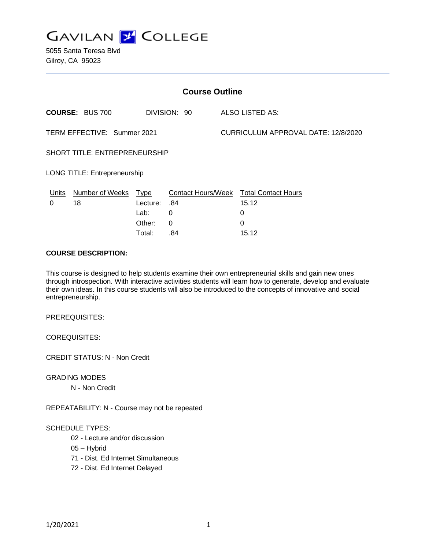

5055 Santa Teresa Blvd Gilroy, CA 95023

| <b>Course Outline</b>                |                        |              |     |                                     |                                               |
|--------------------------------------|------------------------|--------------|-----|-------------------------------------|-----------------------------------------------|
| <b>COURSE: BUS 700</b>               |                        | DIVISION: 90 |     | <b>ALSO LISTED AS:</b>              |                                               |
| TERM EFFECTIVE: Summer 2021          |                        |              |     | CURRICULUM APPROVAL DATE: 12/8/2020 |                                               |
| <b>SHORT TITLE: ENTREPRENEURSHIP</b> |                        |              |     |                                     |                                               |
| <b>LONG TITLE: Entrepreneurship</b>  |                        |              |     |                                     |                                               |
| Units                                | <b>Number of Weeks</b> | <u>Type</u>  |     |                                     | <b>Contact Hours/Week Total Contact Hours</b> |
| 0                                    | 18                     | Lecture:     | .84 |                                     | 15.12                                         |
|                                      |                        | Lab:         | 0   |                                     | 0                                             |
|                                      |                        | Other:       | 0   |                                     | 0                                             |
|                                      |                        | Total:       | .84 |                                     | 15.12                                         |

### **COURSE DESCRIPTION:**

This course is designed to help students examine their own entrepreneurial skills and gain new ones through introspection. With interactive activities students will learn how to generate, develop and evaluate their own ideas. In this course students will also be introduced to the concepts of innovative and social entrepreneurship.

PREREQUISITES:

COREQUISITES:

CREDIT STATUS: N - Non Credit

GRADING MODES

N - Non Credit

REPEATABILITY: N - Course may not be repeated

#### SCHEDULE TYPES:

- 02 Lecture and/or discussion
- 05 Hybrid
- 71 Dist. Ed Internet Simultaneous
- 72 Dist. Ed Internet Delayed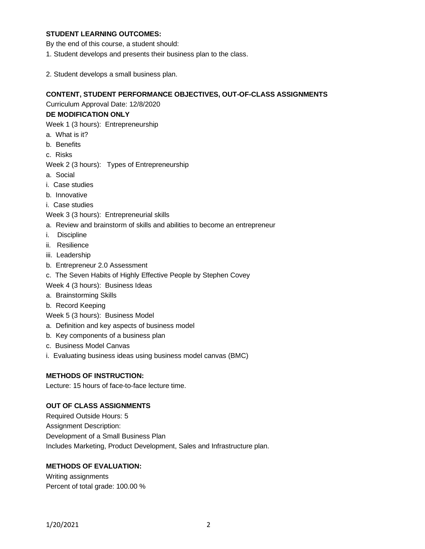# **STUDENT LEARNING OUTCOMES:**

By the end of this course, a student should:

- 1. Student develops and presents their business plan to the class.
- 2. Student develops a small business plan.

#### **CONTENT, STUDENT PERFORMANCE OBJECTIVES, OUT-OF-CLASS ASSIGNMENTS**

Curriculum Approval Date: 12/8/2020

# **DE MODIFICATION ONLY**

Week 1 (3 hours): Entrepreneurship

- a. What is it?
- b. Benefits
- c. Risks

Week 2 (3 hours): Types of Entrepreneurship

- a. Social
- i. Case studies
- b. Innovative
- i. Case studies
- Week 3 (3 hours): Entrepreneurial skills
- a. Review and brainstorm of skills and abilities to become an entrepreneur
- i. Discipline
- ii. Resilience
- iii. Leadership
- b. Entrepreneur 2.0 Assessment
- c. The Seven Habits of Highly Effective People by Stephen Covey
- Week 4 (3 hours): Business Ideas
- a. Brainstorming Skills
- b. Record Keeping
- Week 5 (3 hours): Business Model
- a. Definition and key aspects of business model
- b. Key components of a business plan
- c. Business Model Canvas
- i. Evaluating business ideas using business model canvas (BMC)

# **METHODS OF INSTRUCTION:**

Lecture: 15 hours of face-to-face lecture time.

# **OUT OF CLASS ASSIGNMENTS**

Required Outside Hours: 5 Assignment Description: Development of a Small Business Plan Includes Marketing, Product Development, Sales and Infrastructure plan.

# **METHODS OF EVALUATION:**

Writing assignments Percent of total grade: 100.00 %